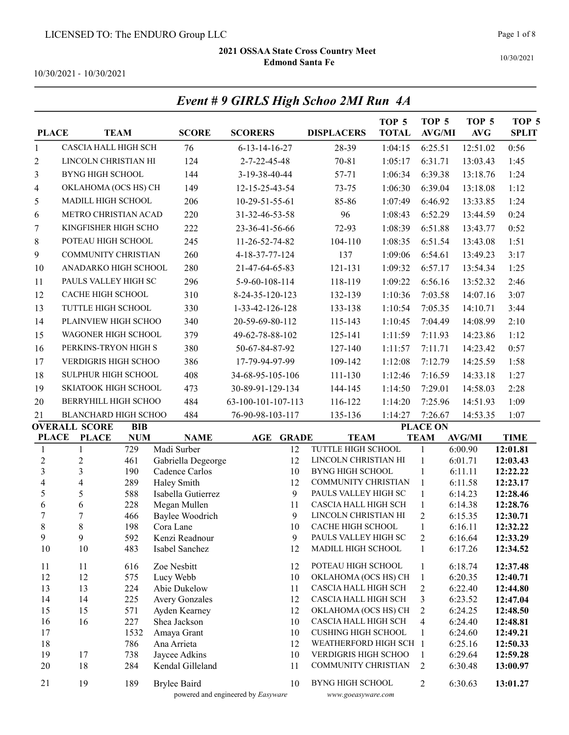Event # 9 GIRLS High Schoo 2MI Run 4A

Page 1 of 8

10/30/2021

10/30/2021 - 10/30/2021

| <b>PLACE</b>        |                             | <b>TEAM</b> | <b>SCORE</b>                      | <b>SCORERS</b>                           | <b>DISPLACERS</b>                                     | TOP <sub>5</sub><br><b>TOTAL</b> | TOP <sub>5</sub><br><b>AVG/MI</b> | TOP <sub>5</sub><br><b>AVG</b> | TOP <sub>5</sub><br><b>SPLIT</b> |
|---------------------|-----------------------------|-------------|-----------------------------------|------------------------------------------|-------------------------------------------------------|----------------------------------|-----------------------------------|--------------------------------|----------------------------------|
| $\mathbf{1}$        | CASCIA HALL HIGH SCH        |             | 76                                | $6 - 13 - 14 - 16 - 27$                  | 28-39                                                 | 1:04:15                          | 6:25.51                           | 12:51.02                       | 0:56                             |
| $\overline{c}$      | LINCOLN CHRISTIAN HI        |             | 124                               | 2-7-22-45-48                             | 70-81                                                 | 1:05:17                          | 6:31.71                           | 13:03.43                       | 1:45                             |
| 3                   | <b>BYNG HIGH SCHOOL</b>     |             | 144                               | 3-19-38-40-44                            | 57-71                                                 | 1:06:34                          | 6:39.38                           | 13:18.76                       | 1:24                             |
| 4                   | OKLAHOMA (OCS HS) CH        |             | 149                               | 12-15-25-43-54                           | $73 - 75$                                             | 1:06:30                          | 6:39.04                           | 13:18.08                       | 1:12                             |
| 5                   | MADILL HIGH SCHOOL          |             | 206                               | 10-29-51-55-61                           | 85-86                                                 | 1:07:49                          | 6:46.92                           | 13:33.85                       | 1:24                             |
| 6                   | METRO CHRISTIAN ACAD        |             | 220                               | 31-32-46-53-58                           | 96                                                    | 1:08:43                          | 6:52.29                           | 13:44.59                       | 0:24                             |
| 7                   | KINGFISHER HIGH SCHO        |             | 222                               | 23-36-41-56-66                           | 72-93                                                 | 1:08:39                          | 6:51.88                           | 13:43.77                       | 0:52                             |
| 8                   | POTEAU HIGH SCHOOL          |             | 245                               | 11-26-52-74-82                           | 104-110                                               | 1:08:35                          | 6:51.54                           | 13:43.08                       | 1:51                             |
| 9                   | COMMUNITY CHRISTIAN         |             | 260                               | 4-18-37-77-124                           | 137                                                   | 1:09:06                          |                                   |                                | 3:17                             |
|                     |                             |             |                                   |                                          |                                                       |                                  | 6:54.61                           | 13:49.23                       |                                  |
| 10                  | ANADARKO HIGH SCHOOL        |             | 280                               | 21-47-64-65-83                           | 121-131                                               | 1:09:32                          | 6:57.17                           | 13:54.34                       | 1:25                             |
| 11                  | PAULS VALLEY HIGH SC        |             | 296                               | 5-9-60-108-114                           | 118-119                                               | 1:09:22                          | 6:56.16                           | 13:52.32                       | 2:46                             |
| 12                  | <b>CACHE HIGH SCHOOL</b>    |             | 310                               | 8-24-35-120-123                          | 132-139                                               | 1:10:36                          | 7:03.58                           | 14:07.16                       | 3:07                             |
| 13                  | TUTTLE HIGH SCHOOL          |             | 330                               | 1-33-42-126-128                          | 133-138                                               | 1:10:54                          | 7:05.35                           | 14:10.71                       | 3:44                             |
| 14                  | PLAINVIEW HIGH SCHOO        |             | 340                               | 20-59-69-80-112                          | 115-143                                               | 1:10:45                          | 7:04.49                           | 14:08.99                       | 2:10                             |
| 15                  | WAGONER HIGH SCHOOL         |             | 379                               | 49-62-78-88-102                          | 125-141                                               | 1:11:59                          | 7:11.93                           | 14:23.86                       | 1:12                             |
| 16                  | PERKINS-TRYON HIGH S        |             | 380                               | 50-67-84-87-92                           | 127-140                                               | 1:11:57                          | 7:11.71                           | 14:23.42                       | 0:57                             |
| 17                  | <b>VERDIGRIS HIGH SCHOO</b> |             | 386                               | 17-79-94-97-99                           | 109-142                                               | 1:12:08                          | 7:12.79                           | 14:25.59                       | 1:58                             |
| 18                  | SULPHUR HIGH SCHOOL         |             | 408                               | 34-68-95-105-106                         | 111-130                                               | 1:12:46                          | 7:16.59                           | 14:33.18                       | 1:27                             |
| 19                  | SKIATOOK HIGH SCHOOL        |             | 473                               | 30-89-91-129-134                         | 144-145                                               | 1:14:50                          | 7:29.01                           | 14:58.03                       | 2:28                             |
| 20                  | BERRYHILL HIGH SCHOO        |             | 484                               | 63-100-101-107-113                       | 116-122                                               | 1:14:20                          | 7:25.96                           | 14:51.93                       | 1:09                             |
| 21                  | <b>BLANCHARD HIGH SCHOO</b> |             | 484                               | 76-90-98-103-117                         | 135-136                                               | 1:14:27                          | 7:26.67                           | 14:53.35                       | 1:07                             |
|                     | <b>OVERALL SCORE</b>        | <b>BIB</b>  |                                   |                                          |                                                       |                                  | <b>PLACE ON</b>                   |                                |                                  |
| <b>PLACE</b>        | <b>PLACE</b>                | <b>NUM</b>  | <b>NAME</b>                       | AGE<br><b>GRADE</b>                      | <b>TEAM</b>                                           |                                  | <b>TEAM</b>                       | <b>AVG/MI</b>                  | <b>TIME</b>                      |
| 1                   | 1                           | 729         | Madi Surber                       | 12                                       | TUTTLE HIGH SCHOOL                                    |                                  | $\mathbf{1}$                      | 6:00.90                        | 12:01.81                         |
| $\overline{c}$      | $\overline{c}$              | 461         | Gabriella Degeorge                | 12                                       | LINCOLN CHRISTIAN HI                                  |                                  | $\mathbf{1}$                      | 6:01.71                        | 12:03.43                         |
| 3<br>$\overline{4}$ | 3<br>$\overline{4}$         | 190<br>289  | Cadence Carlos                    | 10<br>12                                 | <b>BYNG HIGH SCHOOL</b><br><b>COMMUNITY CHRISTIAN</b> |                                  | $\mathbf{1}$<br>$\mathbf{1}$      | 6:11.11                        | 12:22.22<br>12:23.17             |
| 5                   | $\mathfrak s$               | 588         | Haley Smith<br>Isabella Gutierrez | 9                                        | PAULS VALLEY HIGH SC                                  |                                  | $\mathbf{1}$                      | 6:11.58<br>6:14.23             | 12:28.46                         |
| 6                   | 6                           | 228         | Megan Mullen                      | 11                                       | CASCIA HALL HIGH SCH                                  |                                  | $\mathbf{1}$                      | 6:14.38                        | 12:28.76                         |
| 7                   | $\tau$                      | 466         | <b>Baylee Woodrich</b>            | 9                                        | LINCOLN CHRISTIAN HI                                  |                                  | 2                                 | 6:15.35                        | 12:30.71                         |
| 8                   | 8                           | 198         | Cora Lane                         | 10                                       | <b>CACHE HIGH SCHOOL</b>                              |                                  | $\mathbf{1}$                      | 6:16.11                        | 12:32.22                         |
| 9                   | 9                           | 592         | Kenzi Readnour                    | 9                                        | PAULS VALLEY HIGH SC                                  |                                  | 2                                 | 6:16.64                        | 12:33.29                         |
| 10                  | 10                          | 483         | Isabel Sanchez                    | 12                                       | MADILL HIGH SCHOOL                                    |                                  | 1                                 | 6:17.26                        | 12:34.52                         |
| 11                  | 11                          | 616         | Zoe Nesbitt                       | 12                                       | POTEAU HIGH SCHOOL                                    |                                  | $\mathbf{1}$                      | 6:18.74                        | 12:37.48                         |
| 12                  | 12                          | 575         | Lucy Webb                         | 10                                       | OKLAHOMA (OCS HS) CH                                  |                                  | $\mathbf{1}$                      | 6:20.35                        | 12:40.71                         |
| 13                  | 13                          | 224         | Abie Dukelow                      | 11                                       | CASCIA HALL HIGH SCH                                  |                                  | 2                                 | 6:22.40                        | 12:44.80                         |
| 14                  | 14                          | 225         | <b>Avery Gonzales</b>             | 12                                       | CASCIA HALL HIGH SCH                                  |                                  | 3                                 | 6:23.52                        | 12:47.04                         |
| 15                  | 15                          | 571         | Ayden Kearney                     | 12                                       | OKLAHOMA (OCS HS) CH<br>CASCIA HALL HIGH SCH          |                                  | $\overline{c}$                    | 6:24.25                        | 12:48.50                         |
| 16<br>17            | 16                          | 227<br>1532 | Shea Jackson<br>Amaya Grant       | 10<br>10                                 | <b>CUSHING HIGH SCHOOL</b>                            |                                  | 4<br>1                            | 6:24.40<br>6:24.60             | 12:48.81<br>12:49.21             |
| 18                  |                             | 786         | Ana Arrieta                       | 12                                       | WEATHERFORD HIGH SCH 1                                |                                  |                                   | 6:25.16                        | 12:50.33                         |
| 19                  | 17                          | 738         | Jaycee Adkins                     | 10                                       | VERDIGRIS HIGH SCHOO                                  |                                  | $\mathbf{1}$                      | 6:29.64                        | 12:59.28                         |
| 20                  | 18                          | 284         | Kendal Gilleland                  | 11                                       | COMMUNITY CHRISTIAN                                   |                                  | 2                                 | 6:30.48                        | 13:00.97                         |
| 21                  | 19                          | 189         | <b>Brylee Baird</b>               | 10<br>powered and engineered by Easyware | <b>BYNG HIGH SCHOOL</b>                               |                                  | 2                                 | 6:30.63                        | 13:01.27                         |
|                     |                             |             |                                   |                                          | www.goeasyware.com                                    |                                  |                                   |                                |                                  |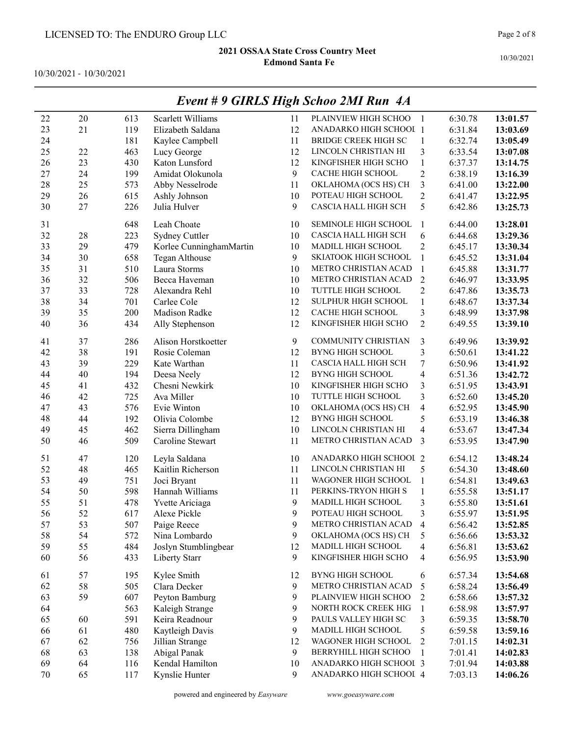10/30/2021 - 10/30/2021

|    |    |     |                         |    | $L$ <i>vent</i> $\#$ <i>7</i> $GLNL$ <i>3 <math>L</math>ligh Schoo <math>2ML</math> Kun</i> $A$ <i>A</i> |                         |         |          |
|----|----|-----|-------------------------|----|----------------------------------------------------------------------------------------------------------|-------------------------|---------|----------|
| 22 | 20 | 613 | Scarlett Williams       | 11 | PLAINVIEW HIGH SCHOO                                                                                     | $\overline{1}$          | 6:30.78 | 13:01.57 |
| 23 | 21 | 119 | Elizabeth Saldana       | 12 | ANADARKO HIGH SCHOOL 1                                                                                   |                         | 6:31.84 | 13:03.69 |
| 24 |    | 181 | Kaylee Campbell         | 11 | BRIDGE CREEK HIGH SC                                                                                     | $\mathbf{1}$            | 6:32.74 | 13:05.49 |
| 25 | 22 | 463 | Lucy George             | 12 | LINCOLN CHRISTIAN HI                                                                                     | $\overline{\mathbf{3}}$ | 6:33.54 | 13:07.08 |
| 26 | 23 | 430 | Katon Lunsford          | 12 | KINGFISHER HIGH SCHO                                                                                     | $\mathbf{1}$            | 6:37.37 | 13:14.75 |
| 27 | 24 | 199 | Amidat Olokunola        | 9  | CACHE HIGH SCHOOL                                                                                        | $\overline{c}$          | 6:38.19 | 13:16.39 |
| 28 | 25 | 573 | Abby Nesselrode         | 11 | OKLAHOMA (OCS HS) CH                                                                                     | $\overline{\mathbf{3}}$ | 6:41.00 | 13:22.00 |
| 29 | 26 | 615 | Ashly Johnson           | 10 | POTEAU HIGH SCHOOL                                                                                       | $\overline{c}$          | 6:41.47 | 13:22.95 |
| 30 | 27 | 226 | Julia Hulver            | 9  | CASCIA HALL HIGH SCH                                                                                     | 5                       | 6:42.86 | 13:25.73 |
| 31 |    | 648 | Leah Choate             | 10 | SEMINOLE HIGH SCHOOL                                                                                     | $\mathbf{1}$            | 6:44.00 | 13:28.01 |
| 32 | 28 | 223 | Sydney Cuttler          | 10 | CASCIA HALL HIGH SCH                                                                                     | 6                       | 6:44.68 | 13:29.36 |
| 33 | 29 | 479 | Korlee CunninghamMartin | 10 | MADILL HIGH SCHOOL                                                                                       | $\overline{2}$          | 6:45.17 | 13:30.34 |
| 34 | 30 | 658 | Tegan Althouse          | 9  | SKIATOOK HIGH SCHOOL                                                                                     | $\mathbf{1}$            | 6:45.52 | 13:31.04 |
| 35 | 31 | 510 | Laura Storms            | 10 | METRO CHRISTIAN ACAD                                                                                     | $\overline{1}$          | 6:45.88 | 13:31.77 |
| 36 | 32 | 506 | Becca Haveman           | 10 | METRO CHRISTIAN ACAD                                                                                     | $\overline{2}$          | 6:46.97 | 13:33.95 |
| 37 | 33 | 728 | Alexandra Rehl          | 10 | TUTTLE HIGH SCHOOL                                                                                       | $\overline{c}$          | 6:47.86 | 13:35.73 |
| 38 | 34 | 701 | Carlee Cole             | 12 | SULPHUR HIGH SCHOOL                                                                                      | $\mathbf{1}$            | 6:48.67 | 13:37.34 |
| 39 | 35 | 200 | Madison Radke           | 12 | CACHE HIGH SCHOOL                                                                                        | $\mathfrak{Z}$          | 6:48.99 | 13:37.98 |
| 40 | 36 | 434 | Ally Stephenson         | 12 | KINGFISHER HIGH SCHO                                                                                     | $\overline{2}$          | 6:49.55 | 13:39.10 |
| 41 | 37 | 286 | Alison Horstkoetter     | 9  | <b>COMMUNITY CHRISTIAN</b>                                                                               | 3                       | 6:49.96 | 13:39.92 |
| 42 | 38 | 191 | Rosie Coleman           | 12 | <b>BYNG HIGH SCHOOL</b>                                                                                  | $\mathfrak{Z}$          | 6:50.61 | 13:41.22 |
| 43 | 39 | 229 | Kate Warthan            | 11 | CASCIA HALL HIGH SCH                                                                                     | 7                       | 6:50.96 | 13:41.92 |
| 44 | 40 | 194 | Deesa Neely             | 12 | <b>BYNG HIGH SCHOOL</b>                                                                                  | $\overline{\mathbf{4}}$ | 6:51.36 | 13:42.72 |
| 45 | 41 | 432 | Chesni Newkirk          | 10 | KINGFISHER HIGH SCHO                                                                                     | 3                       | 6:51.95 | 13:43.91 |
| 46 | 42 | 725 | Ava Miller              | 10 | TUTTLE HIGH SCHOOL                                                                                       | $\mathfrak{Z}$          | 6:52.60 | 13:45.20 |
| 47 | 43 | 576 | Evie Winton             | 10 | OKLAHOMA (OCS HS) CH                                                                                     | $\overline{\mathbf{4}}$ | 6:52.95 | 13:45.90 |
| 48 | 44 | 192 | Olivia Colombe          | 12 | <b>BYNG HIGH SCHOOL</b>                                                                                  | 5                       | 6:53.19 | 13:46.38 |
| 49 | 45 | 462 | Sierra Dillingham       | 10 | LINCOLN CHRISTIAN HI                                                                                     | $\overline{\mathbf{4}}$ | 6:53.67 | 13:47.34 |
| 50 | 46 | 509 | Caroline Stewart        | 11 | METRO CHRISTIAN ACAD                                                                                     | 3                       | 6:53.95 | 13:47.90 |
| 51 | 47 | 120 | Leyla Saldana           | 10 | ANADARKO HIGH SCHOOI 2                                                                                   |                         | 6:54.12 | 13:48.24 |
| 52 | 48 | 465 | Kaitlin Richerson       | 11 | LINCOLN CHRISTIAN HI                                                                                     | 5                       | 6:54.30 | 13:48.60 |
| 53 | 49 | 751 | Joci Bryant             | 11 | WAGONER HIGH SCHOOL                                                                                      | $\mathbf{1}$            | 6:54.81 | 13:49.63 |
| 54 | 50 | 598 | Hannah Williams         | 11 | PERKINS-TRYON HIGH S                                                                                     | $\mathbf{1}$            | 6:55.58 | 13:51.17 |
| 55 | 51 | 478 | Yvette Ariciaga         | 9  | MADILL HIGH SCHOOL                                                                                       | 3                       | 6:55.80 | 13:51.61 |
| 56 | 52 | 617 | Alexe Pickle            | 9  | POTEAU HIGH SCHOOL                                                                                       | 3                       | 6:55.97 | 13:51.95 |
| 57 | 53 | 507 | Paige Reece             | 9  | METRO CHRISTIAN ACAD                                                                                     | $\overline{4}$          | 6:56.42 | 13:52.85 |
| 58 | 54 | 572 | Nina Lombardo           | 9  | OKLAHOMA (OCS HS) CH                                                                                     | 5                       | 6:56.66 | 13:53.32 |
| 59 | 55 | 484 | Joslyn Stumblingbear    | 12 | MADILL HIGH SCHOOL                                                                                       | 4                       | 6:56.81 | 13:53.62 |
| 60 | 56 | 433 | Liberty Starr           | 9  | KINGFISHER HIGH SCHO                                                                                     | 4                       | 6:56.95 | 13:53.90 |
| 61 | 57 | 195 | Kylee Smith             | 12 | <b>BYNG HIGH SCHOOL</b>                                                                                  | 6                       | 6:57.34 | 13:54.68 |
| 62 | 58 | 505 | Clara Decker            | 9  | METRO CHRISTIAN ACAD                                                                                     | 5                       | 6:58.24 | 13:56.49 |
| 63 | 59 | 607 | Peyton Bamburg          | 9  | PLAINVIEW HIGH SCHOO                                                                                     | $\overline{c}$          | 6:58.66 | 13:57.32 |
| 64 |    | 563 | Kaleigh Strange         | 9  | NORTH ROCK CREEK HIG                                                                                     | $\mathbf{1}$            | 6:58.98 | 13:57.97 |
| 65 | 60 | 591 | Keira Readnour          | 9  | PAULS VALLEY HIGH SC                                                                                     | 3                       | 6:59.35 | 13:58.70 |
| 66 | 61 | 480 | Kaytleigh Davis         | 9  | MADILL HIGH SCHOOL                                                                                       | 5                       | 6:59.58 | 13:59.16 |
| 67 | 62 | 756 | Jillian Strange         | 12 | WAGONER HIGH SCHOOL                                                                                      | $\overline{c}$          | 7:01.15 | 14:02.31 |
| 68 | 63 | 138 | Abigal Panak            | 9  | BERRYHILL HIGH SCHOO                                                                                     | $\mathbf{1}$            | 7:01.41 | 14:02.83 |
| 69 | 64 | 116 | Kendal Hamilton         | 10 | ANADARKO HIGH SCHOOL 3                                                                                   |                         | 7:01.94 | 14:03.88 |
| 70 | 65 | 117 | Kynslie Hunter          | 9  | ANADARKO HIGH SCHOOI 4                                                                                   |                         | 7:03.13 | 14:06.26 |

### Event # 9 GIRLS High Schoo 2MI Run 4A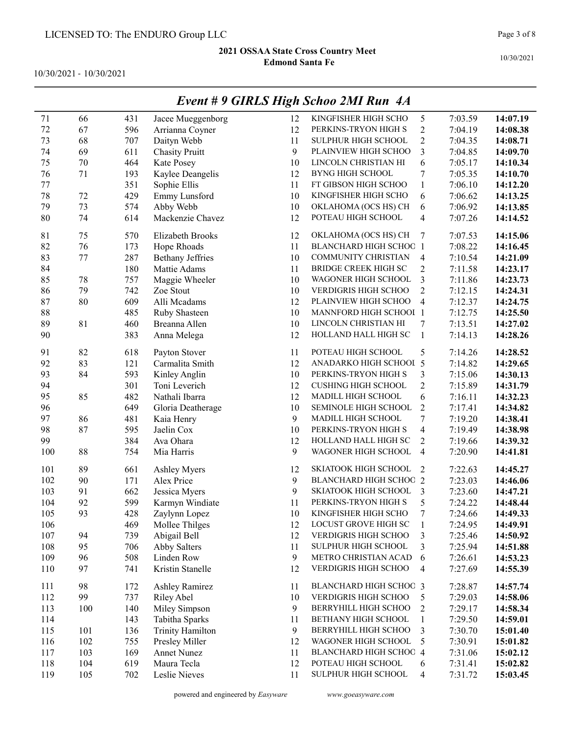10/30/2021 - 10/30/2021

|         |     |     |                         | o  |                               |                          |         |          |
|---------|-----|-----|-------------------------|----|-------------------------------|--------------------------|---------|----------|
| 71      | 66  | 431 | Jacee Mueggenborg       | 12 | KINGFISHER HIGH SCHO          | 5                        | 7:03.59 | 14:07.19 |
| 72      | 67  | 596 | Arrianna Coyner         | 12 | PERKINS-TRYON HIGH S          | $\overline{c}$           | 7:04.19 | 14:08.38 |
| 73      | 68  | 707 | Daityn Webb             | 11 | <b>SULPHUR HIGH SCHOOL</b>    | $\overline{c}$           | 7:04.35 | 14:08.71 |
| 74      | 69  | 611 | <b>Chasity Pruitt</b>   | 9  | PLAINVIEW HIGH SCHOO          | $\overline{\mathbf{3}}$  | 7:04.85 | 14:09.70 |
| 75      | 70  | 464 | Kate Posey              | 10 | LINCOLN CHRISTIAN HI          | 6                        | 7:05.17 | 14:10.34 |
| 76      | 71  | 193 | Kaylee Deangelis        | 12 | <b>BYNG HIGH SCHOOL</b>       | 7                        | 7:05.35 | 14:10.70 |
| $77 \,$ |     | 351 | Sophie Ellis            | 11 | FT GIBSON HIGH SCHOO          | $\mathbf{1}$             | 7:06.10 | 14:12.20 |
| 78      | 72  | 429 | Emmy Lunsford           | 10 | KINGFISHER HIGH SCHO          | 6                        | 7:06.62 | 14:13.25 |
| 79      | 73  | 574 | Abby Webb               | 10 | OKLAHOMA (OCS HS) CH          | 6                        | 7:06.92 | 14:13.85 |
| 80      | 74  | 614 | Mackenzie Chavez        | 12 | POTEAU HIGH SCHOOL            | 4                        | 7:07.26 | 14:14.52 |
| 81      | 75  | 570 | Elizabeth Brooks        | 12 | OKLAHOMA (OCS HS) CH          | 7                        | 7:07.53 | 14:15.06 |
| 82      | 76  | 173 | Hope Rhoads             | 11 | <b>BLANCHARD HIGH SCHOC 1</b> |                          | 7:08.22 | 14:16.45 |
| 83      | 77  | 287 | <b>Bethany Jeffries</b> | 10 | COMMUNITY CHRISTIAN           | 4                        | 7:10.54 | 14:21.09 |
| 84      |     | 180 | Mattie Adams            | 11 | BRIDGE CREEK HIGH SC          | $\overline{c}$           | 7:11.58 | 14:23.17 |
| 85      | 78  | 757 | Maggie Wheeler          | 10 | WAGONER HIGH SCHOOL           | 3                        | 7:11.86 | 14:23.73 |
| 86      | 79  | 742 | Zoe Stout               | 10 | VERDIGRIS HIGH SCHOO          | $\overline{c}$           | 7:12.15 | 14:24.31 |
| 87      | 80  | 609 | Alli Mcadams            | 12 | PLAINVIEW HIGH SCHOO          | $\overline{4}$           | 7:12.37 | 14:24.75 |
| 88      |     | 485 | Ruby Shasteen           | 10 | MANNFORD HIGH SCHOOI 1        |                          | 7:12.75 | 14:25.50 |
| 89      | 81  | 460 | Breanna Allen           | 10 | LINCOLN CHRISTIAN HI          | 7                        | 7:13.51 | 14:27.02 |
| 90      |     | 383 | Anna Melega             | 12 | HOLLAND HALL HIGH SC          | $\mathbf{1}$             | 7:14.13 | 14:28.26 |
|         |     |     |                         |    |                               |                          |         |          |
| 91      | 82  | 618 | Payton Stover           | 11 | POTEAU HIGH SCHOOL            | 5                        | 7:14.26 | 14:28.52 |
| 92      | 83  | 121 | Carmalita Smith         | 12 | ANADARKO HIGH SCHOOL 5        |                          | 7:14.82 | 14:29.65 |
| 93      | 84  | 593 | Kinley Anglin           | 10 | PERKINS-TRYON HIGH S          | 3                        | 7:15.06 | 14:30.13 |
| 94      |     | 301 | Toni Leverich           | 12 | <b>CUSHING HIGH SCHOOL</b>    | $\overline{c}$           | 7:15.89 | 14:31.79 |
| 95      | 85  | 482 | Nathali Ibarra          | 12 | MADILL HIGH SCHOOL            | 6                        | 7:16.11 | 14:32.23 |
| 96      |     | 649 | Gloria Deatherage       | 10 | SEMINOLE HIGH SCHOOL          | $\overline{c}$           | 7:17.41 | 14:34.82 |
| 97      | 86  | 481 | Kaia Henry              | 9  | MADILL HIGH SCHOOL            | $\sqrt{ }$               | 7:19.20 | 14:38.41 |
| 98      | 87  | 595 | Jaelin Cox              | 10 | PERKINS-TRYON HIGH S          | $\overline{\mathcal{A}}$ | 7:19.49 | 14:38.98 |
| 99      |     | 384 | Ava Ohara               | 12 | HOLLAND HALL HIGH SC          | $\overline{c}$           | 7:19.66 | 14:39.32 |
| 100     | 88  | 754 | Mia Harris              | 9  | WAGONER HIGH SCHOOL           | $\overline{\mathbf{4}}$  | 7:20.90 | 14:41.81 |
| 101     | 89  | 661 | Ashley Myers            | 12 | SKIATOOK HIGH SCHOOL          | 2                        | 7:22.63 | 14:45.27 |
| 102     | 90  | 171 | Alex Price              | 9  | <b>BLANCHARD HIGH SCHOC 2</b> |                          | 7:23.03 | 14:46.06 |
| 103     | 91  | 662 | Jessica Myers           | 9  | SKIATOOK HIGH SCHOOL          | 3                        | 7:23.60 | 14:47.21 |
| 104     | 92  | 599 | Karmyn Windiate         | 11 | PERKINS-TRYON HIGH S          | 5                        | 7:24.22 | 14:48.44 |
| 105     | 93  | 428 | Zaylynn Lopez           | 10 | KINGFISHER HIGH SCHO          | 7                        | 7:24.66 | 14:49.33 |
| 106     |     | 469 | Mollee Thilges          | 12 | LOCUST GROVE HIGH SC          | 1                        | 7:24.95 | 14:49.91 |
| 107     | 94  | 739 | Abigail Bell            | 12 | VERDIGRIS HIGH SCHOO          | 3                        | 7:25.46 | 14:50.92 |
| 108     | 95  | 706 | Abby Salters            | 11 | SULPHUR HIGH SCHOOL           | 3                        | 7:25.94 | 14:51.88 |
| 109     | 96  | 508 | Linden Row              | 9  | METRO CHRISTIAN ACAD          | 6                        | 7:26.61 | 14:53.23 |
| 110     | 97  | 741 | Kristin Stanelle        | 12 | VERDIGRIS HIGH SCHOO          | 4                        | 7:27.69 | 14:55.39 |
| 111     | 98  | 172 | <b>Ashley Ramirez</b>   | 11 | BLANCHARD HIGH SCHOC 3        |                          | 7:28.87 | 14:57.74 |
| 112     | 99  | 737 | <b>Riley Abel</b>       | 10 | VERDIGRIS HIGH SCHOO          | 5                        | 7:29.03 | 14:58.06 |
| 113     | 100 | 140 | Miley Simpson           | 9  | BERRYHILL HIGH SCHOO          | $\overline{c}$           | 7:29.17 | 14:58.34 |
| 114     |     | 143 | Tabitha Sparks          | 11 | BETHANY HIGH SCHOOL           | $\mathbf{1}$             | 7:29.50 | 14:59.01 |
| 115     | 101 | 136 | <b>Trinity Hamilton</b> | 9  | BERRYHILL HIGH SCHOO          | $\mathfrak{Z}$           | 7:30.70 | 15:01.40 |
| 116     | 102 | 755 | Presley Miller          | 12 | WAGONER HIGH SCHOOL           | 5                        | 7:30.91 | 15:01.82 |
| 117     | 103 | 169 | Annet Nunez             | 11 | BLANCHARD HIGH SCHOC 4        |                          | 7:31.06 | 15:02.12 |
| 118     | 104 | 619 | Maura Tecla             | 12 | POTEAU HIGH SCHOOL            | 6                        | 7:31.41 | 15:02.82 |
| 119     | 105 | 702 | Leslie Nieves           | 11 | SULPHUR HIGH SCHOOL           | 4                        | 7:31.72 | 15:03.45 |
|         |     |     |                         |    |                               |                          |         |          |

### Event # 9 GIRLS High Schoo 2MI Run 4A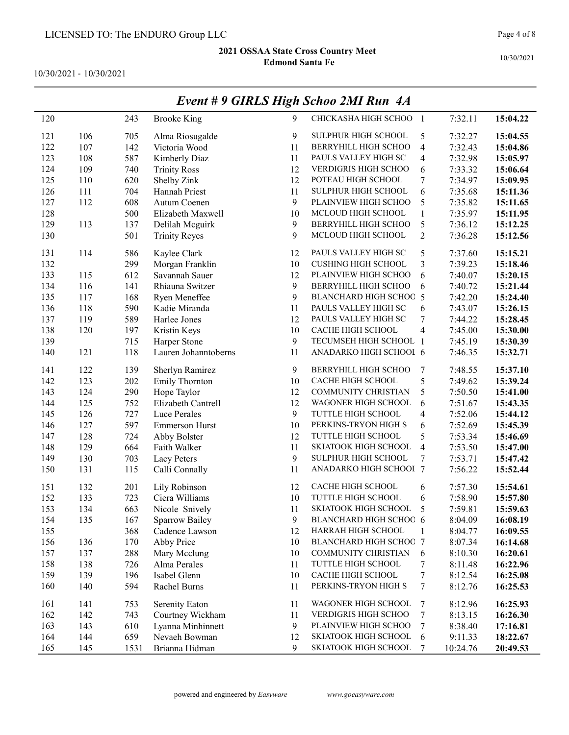10/30/2021 - 10/30/2021

| 120 |     | 243  | <b>Brooke King</b>    | 9  | CHICKASHA HIGH SCHOO 1     |                         | 7:32.11  | 15:04.22 |
|-----|-----|------|-----------------------|----|----------------------------|-------------------------|----------|----------|
| 121 | 106 | 705  | Alma Riosugalde       | 9  | SULPHUR HIGH SCHOOL        | 5                       | 7:32.27  | 15:04.55 |
| 122 | 107 | 142  | Victoria Wood         | 11 | BERRYHILL HIGH SCHOO       | $\overline{\mathbf{4}}$ | 7:32.43  | 15:04.86 |
| 123 | 108 | 587  | Kimberly Diaz         | 11 | PAULS VALLEY HIGH SC       | 4                       | 7:32.98  | 15:05.97 |
| 124 | 109 | 740  | <b>Trinity Ross</b>   | 12 | VERDIGRIS HIGH SCHOO       | 6                       | 7:33.32  | 15:06.64 |
| 125 | 110 | 620  | Shelby Zink           | 12 | POTEAU HIGH SCHOOL         | 7                       | 7:34.97  | 15:09.95 |
| 126 | 111 | 704  | Hannah Priest         | 11 | SULPHUR HIGH SCHOOL        | 6                       | 7:35.68  | 15:11.36 |
| 127 | 112 | 608  | Autum Coenen          | 9  | PLAINVIEW HIGH SCHOO       | 5                       | 7:35.82  | 15:11.65 |
| 128 |     | 500  | Elizabeth Maxwell     | 10 | MCLOUD HIGH SCHOOL         | $\,1$                   | 7:35.97  | 15:11.95 |
| 129 | 113 | 137  | Delilah Mcguirk       | 9  | BERRYHILL HIGH SCHOO       | 5                       | 7:36.12  | 15:12.25 |
| 130 |     | 501  | <b>Trinity Reyes</b>  | 9  | MCLOUD HIGH SCHOOL         | $\mathbf{2}$            | 7:36.28  | 15:12.56 |
| 131 | 114 | 586  | Kaylee Clark          | 12 | PAULS VALLEY HIGH SC       | 5                       | 7:37.60  | 15:15.21 |
| 132 |     | 299  | Morgan Franklin       | 10 | <b>CUSHING HIGH SCHOOL</b> | 3                       | 7:39.23  | 15:18.46 |
| 133 | 115 | 612  | Savannah Sauer        | 12 | PLAINVIEW HIGH SCHOO       | 6                       | 7:40.07  | 15:20.15 |
| 134 | 116 | 141  | Rhiauna Switzer       | 9  | BERRYHILL HIGH SCHOO       | 6                       | 7:40.72  | 15:21.44 |
| 135 | 117 | 168  | Ryen Meneffee         | 9  | BLANCHARD HIGH SCHOC 5     |                         | 7:42.20  | 15:24.40 |
| 136 | 118 | 590  | Kadie Miranda         | 11 | PAULS VALLEY HIGH SC       | 6                       | 7:43.07  | 15:26.15 |
| 137 | 119 | 589  | Harlee Jones          | 12 | PAULS VALLEY HIGH SC       | 7                       | 7:44.22  | 15:28.45 |
| 138 | 120 | 197  | Kristin Keys          | 10 | CACHE HIGH SCHOOL          | 4                       | 7:45.00  | 15:30.00 |
| 139 |     | 715  | Harper Stone          | 9  | TECUMSEH HIGH SCHOOL 1     |                         | 7:45.19  | 15:30.39 |
| 140 | 121 | 118  | Lauren Johanntoberns  | 11 | ANADARKO HIGH SCHOOL 6     |                         | 7:46.35  | 15:32.71 |
| 141 | 122 | 139  | Sherlyn Ramirez       | 9  | BERRYHILL HIGH SCHOO       | 7                       | 7:48.55  | 15:37.10 |
| 142 | 123 | 202  | Emily Thornton        | 10 | CACHE HIGH SCHOOL          | 5                       | 7:49.62  | 15:39.24 |
| 143 | 124 | 290  | Hope Taylor           | 12 | COMMUNITY CHRISTIAN        | 5                       | 7:50.50  | 15:41.00 |
| 144 | 125 | 752  | Elizabeth Cantrell    | 12 | WAGONER HIGH SCHOOL        | 6                       | 7:51.67  | 15:43.35 |
| 145 | 126 | 727  | Luce Perales          | 9  | TUTTLE HIGH SCHOOL         | 4                       | 7:52.06  | 15:44.12 |
| 146 | 127 | 597  | <b>Emmerson Hurst</b> | 10 | PERKINS-TRYON HIGH S       | 6                       | 7:52.69  | 15:45.39 |
| 147 | 128 | 724  | Abby Bolster          | 12 | TUTTLE HIGH SCHOOL         | 5                       | 7:53.34  | 15:46.69 |
| 148 | 129 | 664  | Faith Walker          | 11 | SKIATOOK HIGH SCHOOL       | $\overline{\mathbf{4}}$ | 7:53.50  | 15:47.00 |
| 149 | 130 | 703  | Lacy Peters           | 9  | SULPHUR HIGH SCHOOL        | 7                       | 7:53.71  | 15:47.42 |
| 150 | 131 | 115  | Calli Connally        | 11 | ANADARKO HIGH SCHOOL 7     |                         | 7:56.22  | 15:52.44 |
| 151 | 132 | 201  | Lily Robinson         | 12 | CACHE HIGH SCHOOL          | 6                       | 7:57.30  | 15:54.61 |
| 152 | 133 | 723  | Ciera Williams        | 10 | TUTTLE HIGH SCHOOL         | 6                       | 7:58.90  | 15:57.80 |
| 153 | 134 | 663  | Nicole Snively        | 11 | SKIATOOK HIGH SCHOOL       | 5                       | 7:59.81  | 15:59.63 |
| 154 | 135 | 167  | Sparrow Bailey        | 9  | BLANCHARD HIGH SCHOC 6     |                         | 8:04.09  | 16:08.19 |
| 155 |     | 368  | Cadence Lawson        | 12 | HARRAH HIGH SCHOOL         | 1                       | 8:04.77  | 16:09.55 |
| 156 | 136 | 170  | Abby Price            | 10 | BLANCHARD HIGH SCHOC 7     |                         | 8:07.34  | 16:14.68 |
| 157 | 137 | 288  | Mary Mcclung          | 10 | COMMUNITY CHRISTIAN        | 6                       | 8:10.30  | 16:20.61 |
| 158 | 138 | 726  | Alma Perales          | 11 | TUTTLE HIGH SCHOOL         | 7                       | 8:11.48  | 16:22.96 |
| 159 | 139 | 196  | Isabel Glenn          | 10 | CACHE HIGH SCHOOL          | 7                       | 8:12.54  | 16:25.08 |
| 160 | 140 | 594  | Rachel Burns          | 11 | PERKINS-TRYON HIGH S       | 7                       | 8:12.76  | 16:25.53 |
| 161 | 141 | 753  | Serenity Eaton        | 11 | WAGONER HIGH SCHOOL        | 7                       | 8:12.96  | 16:25.93 |
| 162 | 142 | 743  | Courtney Wickham      | 11 | VERDIGRIS HIGH SCHOO       | $\boldsymbol{7}$        | 8:13.15  | 16:26.30 |
| 163 | 143 | 610  | Lyanna Minhinnett     | 9  | PLAINVIEW HIGH SCHOO       | 7                       | 8:38.40  | 17:16.81 |
| 164 | 144 | 659  | Nevaeh Bowman         | 12 | SKIATOOK HIGH SCHOOL       | 6                       | 9:11.33  | 18:22.67 |
| 165 | 145 | 1531 | Brianna Hidman        | 9  | SKIATOOK HIGH SCHOOL       | 7                       | 10:24.76 | 20:49.53 |

# Event # 9 GIRLS High Schoo 2MI Run 4A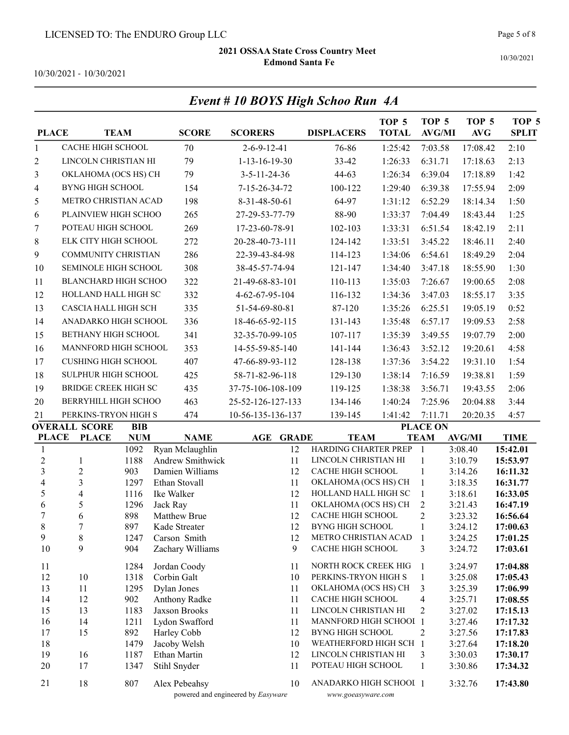10/30/2021

10/30/2021 - 10/30/2021

|                         |                               |              |                              | Event # 10 BOYS High Schoo Run 4A  |                                              | TOP <sub>5</sub> | TOP <sub>5</sub>           | TOP <sub>5</sub>   | TOP <sub>5</sub>     |
|-------------------------|-------------------------------|--------------|------------------------------|------------------------------------|----------------------------------------------|------------------|----------------------------|--------------------|----------------------|
| <b>PLACE</b>            |                               | <b>TEAM</b>  | <b>SCORE</b>                 | <b>SCORERS</b>                     | <b>DISPLACERS</b>                            | <b>TOTAL</b>     | <b>AVG/MI</b>              | <b>AVG</b>         | <b>SPLIT</b>         |
| $\mathbf{1}$            | CACHE HIGH SCHOOL             |              | 70                           | $2 - 6 - 9 - 12 - 41$              | 76-86                                        | 1:25:42          | 7:03.58                    | 17:08.42           | 2:10                 |
| 2                       | LINCOLN CHRISTIAN HI          |              | 79                           | $1-13-16-19-30$                    | 33-42                                        | 1:26:33          | 6:31.71                    | 17:18.63           | 2:13                 |
| 3                       | OKLAHOMA (OCS HS) CH          |              | 79                           | $3 - 5 - 11 - 24 - 36$             | $44-63$                                      | 1:26:34          | 6:39.04                    | 17:18.89           | 1:42                 |
| 4                       | <b>BYNG HIGH SCHOOL</b>       |              | 154                          | 7-15-26-34-72                      | 100-122                                      | 1:29:40          | 6:39.38                    | 17:55.94           | 2:09                 |
| 5                       | METRO CHRISTIAN ACAD          |              | 198                          | 8-31-48-50-61                      | 64-97                                        | 1:31:12          | 6:52.29                    | 18:14.34           | 1:50                 |
| 6                       | PLAINVIEW HIGH SCHOO          |              | 265                          | 27-29-53-77-79                     | 88-90                                        | 1:33:37          | 7:04.49                    | 18:43.44           | 1:25                 |
| 7                       | POTEAU HIGH SCHOOL            |              | 269                          | 17-23-60-78-91                     | 102-103                                      | 1:33:31          | 6:51.54                    | 18:42.19           | 2:11                 |
| 8                       | ELK CITY HIGH SCHOOL          |              | 272                          | 20-28-40-73-111                    | 124-142                                      | 1:33:51          | 3:45.22                    | 18:46.11           | 2:40                 |
| 9                       | COMMUNITY CHRISTIAN           |              | 286                          | 22-39-43-84-98                     | 114-123                                      | 1:34:06          | 6:54.61                    | 18:49.29           | 2:04                 |
| 10                      | SEMINOLE HIGH SCHOOL          |              | 308                          | 38-45-57-74-94                     | 121-147                                      | 1:34:40          | 3:47.18                    | 18:55.90           | 1:30                 |
| 11                      | <b>BLANCHARD HIGH SCHOO</b>   |              | 322                          | 21-49-68-83-101                    | 110-113                                      | 1:35:03          | 7:26.67                    | 19:00.65           | 2:08                 |
| 12                      | HOLLAND HALL HIGH SC          |              | 332                          | 4-62-67-95-104                     | 116-132                                      | 1:34:36          | 3:47.03                    | 18:55.17           | 3:35                 |
| 13                      | CASCIA HALL HIGH SCH          |              | 335                          | 51-54-69-80-81                     | 87-120                                       | 1:35:26          | 6:25.51                    | 19:05.19           | 0:52                 |
| 14                      | ANADARKO HIGH SCHOOL          |              | 336                          | 18-46-65-92-115                    | 131-143                                      | 1:35:48          | 6:57.17                    | 19:09.53           | 2:58                 |
| 15                      | <b>BETHANY HIGH SCHOOL</b>    |              | 341                          | 32-35-70-99-105                    | 107-117                                      | 1:35:39          | 3:49.55                    | 19:07.79           | 2:00                 |
| 16                      | MANNFORD HIGH SCHOOL          |              | 353                          | 14-55-59-85-140                    | 141-144                                      | 1:36:43          | 3:52.12                    | 19:20.61           | 4:58                 |
| 17                      | <b>CUSHING HIGH SCHOOL</b>    |              | 407                          | 47-66-89-93-112                    | 128-138                                      | 1:37:36          | 3:54.22                    | 19:31.10           | 1:54                 |
| 18                      | SULPHUR HIGH SCHOOL           |              | 425                          | 58-71-82-96-118                    | 129-130                                      | 1:38:14          | 7:16.59                    | 19:38.81           | 1:59                 |
| 19                      | <b>BRIDGE CREEK HIGH SC</b>   |              | 435                          | 37-75-106-108-109                  | 119-125                                      | 1:38:38          | 3:56.71                    | 19:43.55           | 2:06                 |
| 20                      | BERRYHILL HIGH SCHOO          |              | 463                          |                                    | 134-146                                      | 1:40:24          | 7:25.96                    |                    | 3:44                 |
| 21                      | PERKINS-TRYON HIGH S          |              | 474                          | 25-52-126-127-133                  |                                              |                  |                            | 20:04.88           | 4:57                 |
|                         | <b>OVERALL SCORE</b>          | <b>BIB</b>   |                              | 10-56-135-136-137                  | 139-145                                      | 1:41:42          | 7:11.71<br><b>PLACE ON</b> | 20:20.35           |                      |
| <b>PLACE</b>            | <b>PLACE</b>                  | <b>NUM</b>   | <b>NAME</b>                  | <b>AGE</b><br><b>GRADE</b>         | <b>TEAM</b>                                  |                  | <b>TEAM</b>                | <b>AVG/MI</b>      | <b>TIME</b>          |
| $\mathbf{1}$            |                               | 1092         | Ryan Mclaughlin              | 12                                 | HARDING CHARTER PREP                         |                  | -1                         | 3:08.40            | 15:42.01             |
| $\overline{c}$          | $\mathbf{1}$                  | 1188         | Andrew Smithwick             | 11                                 | LINCOLN CHRISTIAN HI                         |                  | 1                          | 3:10.79            | 15:53.97             |
| $\overline{3}$          | $\overline{c}$                | 903          | Damien Williams              | 12                                 | CACHE HIGH SCHOOL                            |                  | $\mathbf{1}$               | 3:14.26            | 16:11.32             |
| $\overline{\mathbf{4}}$ | 3                             | 1297         | Ethan Stovall                | 11                                 | OKLAHOMA (OCS HS) CH<br>HOLLAND HALL HIGH SC |                  | $\mathbf{1}$               | 3:18.35            | 16:31.77             |
| 5<br>6                  | $\overline{\mathcal{A}}$<br>5 | 1116<br>1296 | Ike Walker<br>Jack Ray       | 12<br>11                           | OKLAHOMA (OCS HS) CH                         |                  | 1<br>2                     | 3:18.61<br>3:21.43 | 16:33.05<br>16:47.19 |
| 7                       | 6                             | 898          | Matthew Brue                 | 12                                 | CACHE HIGH SCHOOL                            |                  | $\mathbf{2}$               | 3:23.32            | 16:56.64             |
| $\,$ $\,$               | $\boldsymbol{7}$              | 897          | Kade Streater                | 12                                 | <b>BYNG HIGH SCHOOL</b>                      |                  | 1                          | 3:24.12            | 17:00.63             |
| 9                       | $\,$ $\,$                     | 1247         | Carson Smith                 | 12                                 | METRO CHRISTIAN ACAD                         |                  | 1                          | 3:24.25            | 17:01.25             |
| 10                      | 9                             | 904          | Zachary Williams             | 9                                  | CACHE HIGH SCHOOL                            |                  | 3                          | 3:24.72            | 17:03.61             |
| 11                      |                               | 1284         | Jordan Coody                 | 11                                 | NORTH ROCK CREEK HIG                         |                  | 1                          | 3:24.97            | 17:04.88             |
| 12                      | 10                            | 1318         | Corbin Galt                  | 10                                 | PERKINS-TRYON HIGH S                         |                  | $\mathbf{1}$               | 3:25.08            | 17:05.43             |
| 13                      | 11                            | 1295         | Dylan Jones                  | 11                                 | OKLAHOMA (OCS HS) CH                         |                  | 3                          | 3:25.39            | 17:06.99             |
| 14                      | 12                            | 902          | Anthony Radke                | 11                                 | CACHE HIGH SCHOOL                            |                  | 4                          | 3:25.71            | 17:08.55             |
| 15                      | 13                            | 1183         | Jaxson Brooks                | 11                                 | LINCOLN CHRISTIAN HI                         |                  | 2                          | 3:27.02            | 17:15.13             |
| 16                      | 14                            | 1211         | Lydon Swafford               | 11                                 | MANNFORD HIGH SCHOOI 1                       |                  |                            | 3:27.46            | 17:17.32             |
| 17                      | 15                            | 892          | Harley Cobb                  | 12                                 | <b>BYNG HIGH SCHOOL</b>                      |                  | 2                          | 3:27.56            | 17:17.83             |
| 18                      |                               | 1479         | Jacoby Welsh                 | 10                                 | WEATHERFORD HIGH SCH 1                       |                  |                            | 3:27.64            | 17:18.20             |
| 19<br>$20\,$            | 16<br>17                      | 1187<br>1347 | Ethan Martin<br>Stihl Snyder | 12<br>11                           | LINCOLN CHRISTIAN HI<br>POTEAU HIGH SCHOOL   |                  | 3                          | 3:30.03<br>3:30.86 | 17:30.17             |
|                         |                               |              |                              |                                    |                                              |                  | $\mathbf{1}$               |                    | 17:34.32             |
| 21                      | 18                            | 807          | Alex Pebeahsy                | 10                                 | ANADARKO HIGH SCHOOL 1                       |                  |                            | 3:32.76            | 17:43.80             |
|                         |                               |              |                              | powered and engineered by Easyware | www.goeasyware.com                           |                  |                            |                    |                      |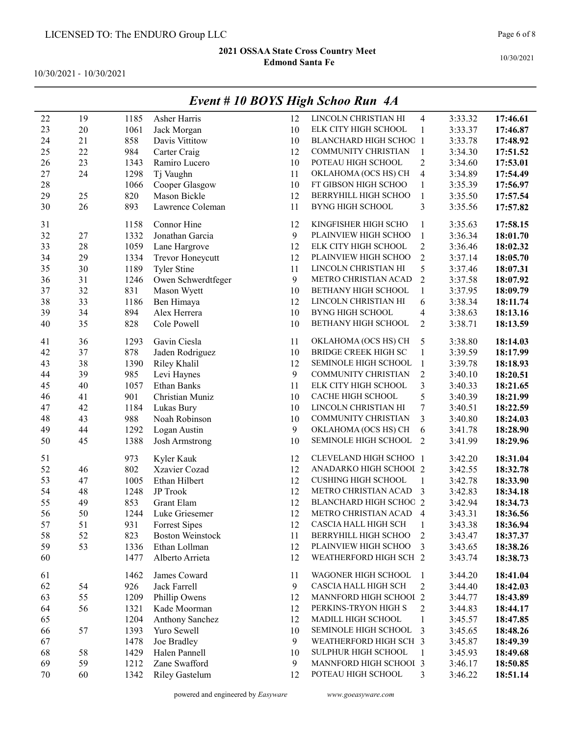10/30/2021 - 10/30/2021

|    |    |      |                         |    | Event # 10 BOYS High Schoo Run 4A |                         |         |          |
|----|----|------|-------------------------|----|-----------------------------------|-------------------------|---------|----------|
| 22 | 19 | 1185 | Asher Harris            | 12 | LINCOLN CHRISTIAN HI              | 4                       | 3:33.32 | 17:46.61 |
| 23 | 20 | 1061 | Jack Morgan             | 10 | ELK CITY HIGH SCHOOL              | 1                       | 3:33.37 | 17:46.87 |
| 24 | 21 | 858  | Davis Vittitow          | 10 | <b>BLANCHARD HIGH SCHOC 1</b>     |                         | 3:33.78 | 17:48.92 |
| 25 | 22 | 984  | Carter Craig            | 12 | COMMUNITY CHRISTIAN               | $\mathbf{1}$            | 3:34.30 | 17:51.52 |
| 26 | 23 | 1343 | Ramiro Lucero           | 10 | POTEAU HIGH SCHOOL                | $\overline{2}$          | 3:34.60 | 17:53.01 |
| 27 | 24 | 1298 | Tj Vaughn               | 11 | OKLAHOMA (OCS HS) CH              | 4                       | 3:34.89 | 17:54.49 |
| 28 |    | 1066 | Cooper Glasgow          | 10 | FT GIBSON HIGH SCHOO              | $\mathbf{1}$            | 3:35.39 | 17:56.97 |
| 29 | 25 | 820  | Mason Bickle            | 12 | <b>BERRYHILL HIGH SCHOO</b>       | $\,1$                   | 3:35.50 | 17:57.54 |
| 30 | 26 | 893  | Lawrence Coleman        | 11 | <b>BYNG HIGH SCHOOL</b>           | 3                       | 3:35.56 | 17:57.82 |
| 31 |    | 1158 | Connor Hine             | 12 | KINGFISHER HIGH SCHO              | 1                       | 3:35.63 | 17:58.15 |
| 32 | 27 | 1332 | Jonathan Garcia         | 9  | PLAINVIEW HIGH SCHOO              | $\mathbf{1}$            | 3:36.34 | 18:01.70 |
| 33 | 28 | 1059 | Lane Hargrove           | 12 | ELK CITY HIGH SCHOOL              | $\overline{c}$          | 3:36.46 | 18:02.32 |
| 34 | 29 | 1334 | Trevor Honeycutt        | 12 | PLAINVIEW HIGH SCHOO              | $\overline{2}$          | 3:37.14 | 18:05.70 |
| 35 | 30 | 1189 | Tyler Stine             | 11 | LINCOLN CHRISTIAN HI              | 5                       | 3:37.46 | 18:07.31 |
| 36 | 31 | 1246 | Owen Schwerdtfeger      | 9  | METRO CHRISTIAN ACAD              | $\overline{2}$          | 3:37.58 | 18:07.92 |
| 37 | 32 | 831  | Mason Wyett             | 10 | BETHANY HIGH SCHOOL               | $\mathbf{1}$            | 3:37.95 | 18:09.79 |
| 38 | 33 | 1186 | Ben Himaya              | 12 | LINCOLN CHRISTIAN HI              | 6                       | 3:38.34 | 18:11.74 |
| 39 | 34 | 894  | Alex Herrera            | 10 | <b>BYNG HIGH SCHOOL</b>           | 4                       | 3:38.63 | 18:13.16 |
| 40 | 35 | 828  | Cole Powell             | 10 | BETHANY HIGH SCHOOL               | $\overline{2}$          | 3:38.71 | 18:13.59 |
| 41 | 36 | 1293 | Gavin Ciesla            | 11 | OKLAHOMA (OCS HS) CH              | 5                       | 3:38.80 | 18:14.03 |
| 42 | 37 | 878  | Jaden Rodriguez         | 10 | <b>BRIDGE CREEK HIGH SC</b>       | $\mathbf{1}$            | 3:39.59 | 18:17.99 |
| 43 | 38 | 1390 | Riley Khalil            | 12 | SEMINOLE HIGH SCHOOL              | $\mathbf{1}$            | 3:39.78 | 18:18.93 |
| 44 | 39 | 985  | Levi Haynes             | 9  | COMMUNITY CHRISTIAN               | $\overline{2}$          | 3:40.10 | 18:20.51 |
| 45 | 40 | 1057 | <b>Ethan Banks</b>      | 11 | ELK CITY HIGH SCHOOL              | $\overline{\mathbf{3}}$ | 3:40.33 | 18:21.65 |
| 46 | 41 | 901  | Christian Muniz         | 10 | CACHE HIGH SCHOOL                 | 5                       | 3:40.39 | 18:21.99 |
| 47 | 42 | 1184 | Lukas Bury              | 10 | LINCOLN CHRISTIAN HI              | 7                       | 3:40.51 | 18:22.59 |
| 48 | 43 | 988  | Noah Robinson           | 10 | COMMUNITY CHRISTIAN               | 3                       | 3:40.80 | 18:24.03 |
| 49 | 44 | 1292 | Logan Austin            | 9  | OKLAHOMA (OCS HS) CH              | 6                       | 3:41.78 | 18:28.90 |
| 50 | 45 | 1388 | Josh Armstrong          | 10 | SEMINOLE HIGH SCHOOL              | $\overline{2}$          | 3:41.99 | 18:29.96 |
| 51 |    | 973  | Kyler Kauk              | 12 | CLEVELAND HIGH SCHOO 1            |                         | 3:42.20 | 18:31.04 |
| 52 | 46 | 802  | Xzavier Cozad           | 12 | ANADARKO HIGH SCHOOI 2            |                         | 3:42.55 | 18:32.78 |
| 53 | 47 | 1005 | Ethan Hilbert           | 12 | <b>CUSHING HIGH SCHOOL</b>        | 1                       | 3:42.78 | 18:33.90 |
| 54 | 48 | 1248 | JP Trook                | 12 | METRO CHRISTIAN ACAD              | 3                       | 3:42.83 | 18:34.18 |
| 55 | 49 | 853  | Grant Elam              | 12 | <b>BLANCHARD HIGH SCHOO 2</b>     |                         | 3:42.94 | 18:34.73 |
| 56 | 50 | 1244 | Luke Griesemer          | 12 | METRO CHRISTIAN ACAD              | $\overline{4}$          | 3:43.31 | 18:36.56 |
| 57 | 51 | 931  | Forrest Sipes           | 12 | CASCIA HALL HIGH SCH              | 1                       | 3:43.38 | 18:36.94 |
| 58 | 52 | 823  | <b>Boston Weinstock</b> | 11 | BERRYHILL HIGH SCHOO              | 2                       | 3:43.47 | 18:37.37 |
| 59 | 53 | 1336 | Ethan Lollman           | 12 | PLAINVIEW HIGH SCHOO              | 3                       | 3:43.65 | 18:38.26 |
| 60 |    | 1477 | Alberto Arrieta         | 12 | WEATHERFORD HIGH SCH 2            |                         | 3:43.74 | 18:38.73 |
| 61 |    | 1462 | James Coward            | 11 | WAGONER HIGH SCHOOL               | 1                       | 3:44.20 | 18:41.04 |
| 62 | 54 | 926  | Jack Farrell            | 9  | CASCIA HALL HIGH SCH              | $\overline{2}$          | 3:44.40 | 18:42.03 |
| 63 | 55 | 1209 | Phillip Owens           | 12 | MANNFORD HIGH SCHOOI 2            |                         | 3:44.77 | 18:43.89 |
| 64 | 56 | 1321 | Kade Moorman            | 12 | PERKINS-TRYON HIGH S              | 2                       | 3:44.83 | 18:44.17 |
| 65 |    | 1204 | Anthony Sanchez         | 12 | MADILL HIGH SCHOOL                | 1                       | 3:45.57 | 18:47.85 |
| 66 | 57 | 1393 | Yuro Sewell             | 10 | SEMINOLE HIGH SCHOOL              | 3                       | 3:45.65 | 18:48.26 |
| 67 |    | 1478 | Joe Bradley             | 9  | WEATHERFORD HIGH SCH 3            |                         | 3:45.87 | 18:49.39 |
| 68 | 58 | 1429 | Halen Pannell           | 10 | SULPHUR HIGH SCHOOL               | 1                       | 3:45.93 | 18:49.68 |
| 69 | 59 | 1212 | Zane Swafford           | 9  | MANNFORD HIGH SCHOOI 3            |                         | 3:46.17 | 18:50.85 |
| 70 | 60 | 1342 | <b>Riley Gastelum</b>   | 12 | POTEAU HIGH SCHOOL                | 3                       | 3:46.22 | 18:51.14 |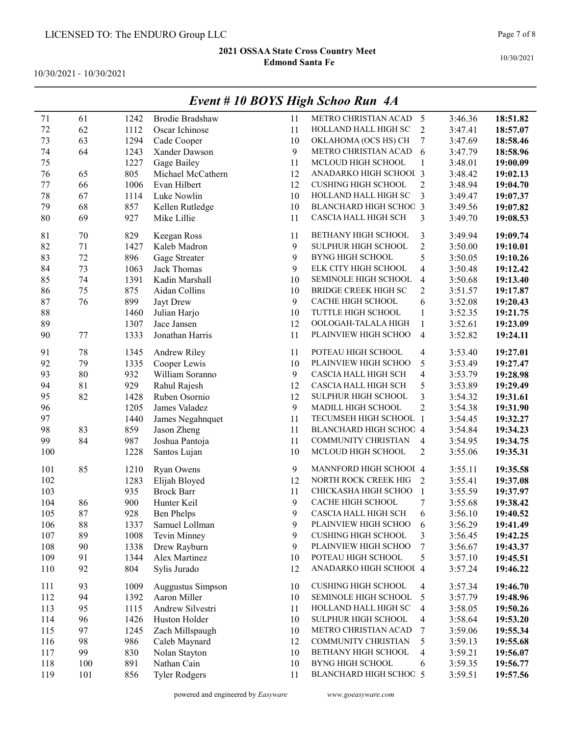10/30/2021 - 10/30/2021

|     |     |      |                        |    | EVENI # IV DUIS FIIGN SCNOO KUN 4A |                          |         |          |
|-----|-----|------|------------------------|----|------------------------------------|--------------------------|---------|----------|
| 71  | 61  | 1242 | <b>Brodie Bradshaw</b> | 11 | METRO CHRISTIAN ACAD               | 5                        | 3:46.36 | 18:51.82 |
| 72  | 62  | 1112 | Oscar Ichinose         | 11 | HOLLAND HALL HIGH SC               | $\overline{2}$           | 3:47.41 | 18:57.07 |
| 73  | 63  | 1294 | Cade Cooper            | 10 | OKLAHOMA (OCS HS) CH               | 7                        | 3:47.69 | 18:58.46 |
| 74  | 64  | 1243 | Xander Dawson          | 9  | METRO CHRISTIAN ACAD               | 6                        | 3:47.79 | 18:58.96 |
| 75  |     | 1227 | Gage Bailey            | 11 | MCLOUD HIGH SCHOOL                 | $\mathbf{1}$             | 3:48.01 | 19:00.09 |
| 76  | 65  | 805  | Michael McCathern      | 12 | ANADARKO HIGH SCHOOL 3             |                          | 3:48.42 | 19:02.13 |
| 77  | 66  | 1006 | Evan Hilbert           | 12 | <b>CUSHING HIGH SCHOOL</b>         | $\overline{2}$           | 3:48.94 | 19:04.70 |
| 78  | 67  | 1114 | Luke Nowlin            | 10 | HOLLAND HALL HIGH SC               | 3                        | 3:49.47 | 19:07.37 |
| 79  | 68  | 857  | Kellen Rutledge        | 10 | <b>BLANCHARD HIGH SCHOC 3</b>      |                          | 3:49.56 | 19:07.82 |
| 80  | 69  | 927  | Mike Lillie            | 11 | CASCIA HALL HIGH SCH               | 3                        | 3:49.70 | 19:08.53 |
| 81  | 70  | 829  | Keegan Ross            | 11 | BETHANY HIGH SCHOOL                | 3                        | 3:49.94 | 19:09.74 |
| 82  | 71  | 1427 | Kaleb Madron           | 9  | SULPHUR HIGH SCHOOL                | $\overline{c}$           | 3:50.00 | 19:10.01 |
| 83  | 72  | 896  | Gage Streater          | 9  | <b>BYNG HIGH SCHOOL</b>            | 5                        | 3:50.05 | 19:10.26 |
| 84  | 73  | 1063 | Jack Thomas            | 9  | ELK CITY HIGH SCHOOL               | 4                        | 3:50.48 | 19:12.42 |
| 85  | 74  | 1391 | Kadin Marshall         | 10 | SEMINOLE HIGH SCHOOL               | 4                        | 3:50.68 | 19:13.40 |
| 86  | 75  | 875  | Aidan Collins          | 10 | <b>BRIDGE CREEK HIGH SC</b>        | $\overline{c}$           | 3:51.57 | 19:17.87 |
| 87  | 76  | 899  | Jayt Drew              | 9  | CACHE HIGH SCHOOL                  | 6                        | 3:52.08 | 19:20.43 |
| 88  |     | 1460 | Julian Harjo           | 10 | TUTTLE HIGH SCHOOL                 | $\mathbf{1}$             | 3:52.35 | 19:21.75 |
| 89  |     | 1307 | Jace Jansen            | 12 | OOLOGAH-TALALA HIGH                | $\mathbf{1}$             | 3:52.61 | 19:23.09 |
| 90  | 77  | 1333 | Jonathan Harris        | 11 | PLAINVIEW HIGH SCHOO               | $\overline{\mathbf{4}}$  | 3:52.82 | 19:24.11 |
| 91  | 78  | 1345 | Andrew Riley           | 11 | POTEAU HIGH SCHOOL                 | 4                        | 3:53.40 | 19:27.01 |
| 92  | 79  | 1335 | Cooper Lewis           | 10 | PLAINVIEW HIGH SCHOO               | 5                        | 3:53.49 | 19:27.47 |
| 93  | 80  | 932  | William Soranno        | 9  | CASCIA HALL HIGH SCH               | $\overline{\mathbf{4}}$  | 3:53.79 | 19:28.98 |
| 94  | 81  | 929  | Rahul Rajesh           | 12 | CASCIA HALL HIGH SCH               | 5                        | 3:53.89 | 19:29.49 |
| 95  | 82  | 1428 | Ruben Osornio          | 12 | SULPHUR HIGH SCHOOL                | $\overline{\mathbf{3}}$  | 3:54.32 | 19:31.61 |
| 96  |     | 1205 | James Valadez          | 9  | MADILL HIGH SCHOOL                 | $\overline{c}$           | 3:54.38 | 19:31.90 |
| 97  |     | 1440 | James Negahnquet       | 11 | TECUMSEH HIGH SCHOOL 1             |                          | 3:54.45 | 19:32.27 |
| 98  | 83  | 859  | Jason Zheng            | 11 | BLANCHARD HIGH SCHOO 4             |                          | 3:54.84 | 19:34.23 |
| 99  | 84  | 987  | Joshua Pantoja         | 11 | COMMUNITY CHRISTIAN                | 4                        | 3:54.95 | 19:34.75 |
| 100 |     | 1228 | Santos Lujan           | 10 | MCLOUD HIGH SCHOOL                 | $\overline{2}$           | 3:55.06 | 19:35.31 |
| 101 | 85  | 1210 | Ryan Owens             | 9  | MANNFORD HIGH SCHOOI 4             |                          | 3:55.11 | 19:35.58 |
| 102 |     | 1283 | Elijah Bloyed          | 12 | NORTH ROCK CREEK HIG               | $\overline{2}$           | 3:55.41 | 19:37.08 |
| 103 |     | 935  | <b>Brock Barr</b>      | 11 | CHICKASHA HIGH SCHOO               | $\mathbf{1}$             | 3:55.59 | 19:37.97 |
| 104 | 86  | 900  | Hunter Keil            | 9  | CACHE HIGH SCHOOL                  | 7                        | 3:55.68 | 19:38.42 |
| 105 | 87  | 928  | <b>Ben Phelps</b>      | 9  | CASCIA HALL HIGH SCH               | 6                        | 3:56.10 | 19:40.52 |
| 106 | 88  | 1337 | Samuel Lollman         | 9  | PLAINVIEW HIGH SCHOO               | 6                        | 3:56.29 | 19:41.49 |
| 107 | 89  | 1008 | Tevin Minney           | 9  | <b>CUSHING HIGH SCHOOL</b>         | 3                        | 3:56.45 | 19:42.25 |
| 108 | 90  | 1338 | Drew Rayburn           | 9  | PLAINVIEW HIGH SCHOO               | 7                        | 3:56.67 | 19:43.37 |
| 109 | 91  | 1344 | Alex Martinez          | 10 | POTEAU HIGH SCHOOL                 | 5                        | 3:57.10 | 19:45.51 |
| 110 | 92  | 804  | Sylis Jurado           | 12 | ANADARKO HIGH SCHOOL 4             |                          | 3:57.24 | 19:46.22 |
| 111 | 93  | 1009 | Auggustus Simpson      | 10 | <b>CUSHING HIGH SCHOOL</b>         | 4                        | 3:57.34 | 19:46.70 |
| 112 | 94  | 1392 | Aaron Miller           | 10 | SEMINOLE HIGH SCHOOL               | 5                        | 3:57.79 | 19:48.96 |
| 113 | 95  | 1115 | Andrew Silvestri       | 11 | HOLLAND HALL HIGH SC               | $\overline{\mathcal{A}}$ | 3:58.05 | 19:50.26 |
| 114 | 96  | 1426 | Huston Holder          | 10 | SULPHUR HIGH SCHOOL                | 4                        | 3:58.64 | 19:53.20 |
| 115 | 97  | 1245 | Zach Millspaugh        | 10 | METRO CHRISTIAN ACAD               | 7                        | 3:59.06 | 19:55.34 |
| 116 | 98  | 986  | Caleb Maynard          | 12 | COMMUNITY CHRISTIAN                | 5                        | 3:59.13 | 19:55.68 |
| 117 | 99  | 830  | Nolan Stayton          | 10 | BETHANY HIGH SCHOOL                | 4                        | 3:59.21 | 19:56.07 |
| 118 | 100 | 891  | Nathan Cain            | 10 | <b>BYNG HIGH SCHOOL</b>            | 6                        | 3:59.35 | 19:56.77 |
| 119 | 101 | 856  | <b>Tyler Rodgers</b>   | 11 | <b>BLANCHARD HIGH SCHOC 5</b>      |                          | 3:59.51 | 19:57.56 |

## Event # 10 BOYS High Schoo Run 4A

powered and engineered by Easyware www.goeasyware.com